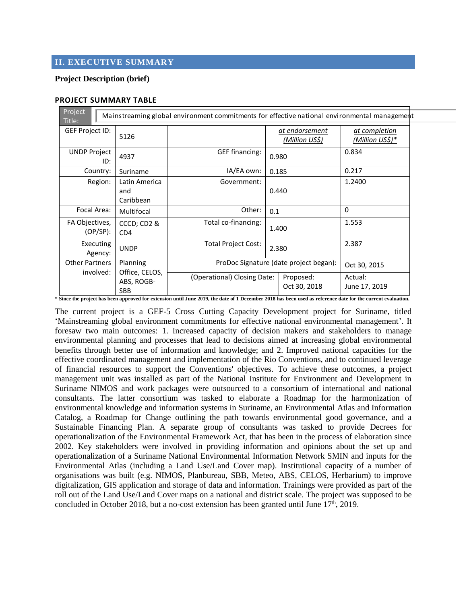# **II. EXECUTIVE SUMMARY**

## **Project Description (brief)**

#### **PROJECT SUMMARY TABLE**

| Project                                                                                                |                                                        |                                        |                                         |                                  |  |  |
|--------------------------------------------------------------------------------------------------------|--------------------------------------------------------|----------------------------------------|-----------------------------------------|----------------------------------|--|--|
| Mainstreaming global environment commitments for effective national environmental management<br>Title: |                                                        |                                        |                                         |                                  |  |  |
| GEF Project ID:                                                                                        | 5126                                                   |                                        | <u>at endorsement</u><br>(Million US\$) | at completion<br>(Million US\$)* |  |  |
| <b>UNDP Project</b><br>ID:                                                                             | 4937                                                   | <b>GEF financing:</b>                  | 0.980                                   | 0.834                            |  |  |
| Country:                                                                                               | Suriname                                               | IA/EA own:                             | 0.217<br>0.185                          |                                  |  |  |
| Region:                                                                                                | Latin America<br>and<br>Caribbean                      | Government:                            | 0.440                                   | 1.2400                           |  |  |
| Focal Area:                                                                                            | Multifocal                                             | Other:                                 | 0.1                                     | $\Omega$                         |  |  |
| FA Objectives,<br>(OP/SP):                                                                             | CCCD; CD2 &<br>CD <sub>4</sub>                         | Total co-financing:                    | 1.400                                   | 1.553                            |  |  |
| Executing<br>Agency:                                                                                   | <b>UNDP</b>                                            | <b>Total Project Cost:</b>             | 2.380                                   | 2.387                            |  |  |
| <b>Other Partners</b><br>involved:                                                                     | Planning<br>Office, CELOS,<br>ABS, ROGB-<br><b>SBB</b> | ProDoc Signature (date project began): |                                         | Oct 30, 2015                     |  |  |
|                                                                                                        |                                                        | (Operational) Closing Date:            | Proposed:<br>Oct 30, 2018               | Actual:<br>June 17, 2019         |  |  |

**\* Since the project has been approved for extension until June 2019, the date of 1 December 2018 has been used as reference date for the current evaluation.** 

The current project is a GEF-5 Cross Cutting Capacity Development project for Suriname, titled 'Mainstreaming global environment commitments for effective national environmental management'. It foresaw two main outcomes: 1. Increased capacity of decision makers and stakeholders to manage environmental planning and processes that lead to decisions aimed at increasing global environmental benefits through better use of information and knowledge; and 2. Improved national capacities for the effective coordinated management and implementation of the Rio Conventions, and to continued leverage of financial resources to support the Conventions' objectives. To achieve these outcomes, a project management unit was installed as part of the National Institute for Environment and Development in Suriname NIMOS and work packages were outsourced to a consortium of international and national consultants. The latter consortium was tasked to elaborate a Roadmap for the harmonization of environmental knowledge and information systems in Suriname, an Environmental Atlas and Information Catalog, a Roadmap for Change outlining the path towards environmental good governance, and a Sustainable Financing Plan. A separate group of consultants was tasked to provide Decrees for operationalization of the Environmental Framework Act, that has been in the process of elaboration since 2002. Key stakeholders were involved in providing information and opinions about the set up and operationalization of a Suriname National Environmental Information Network SMIN and inputs for the Environmental Atlas (including a Land Use/Land Cover map). Institutional capacity of a number of organisations was built (e.g. NIMOS, Planbureau, SBB, Meteo, ABS, CELOS, Herbarium) to improve digitalization, GIS application and storage of data and information. Trainings were provided as part of the roll out of the Land Use/Land Cover maps on a national and district scale. The project was supposed to be concluded in October 2018, but a no-cost extension has been granted until June  $17<sup>th</sup>$ , 2019.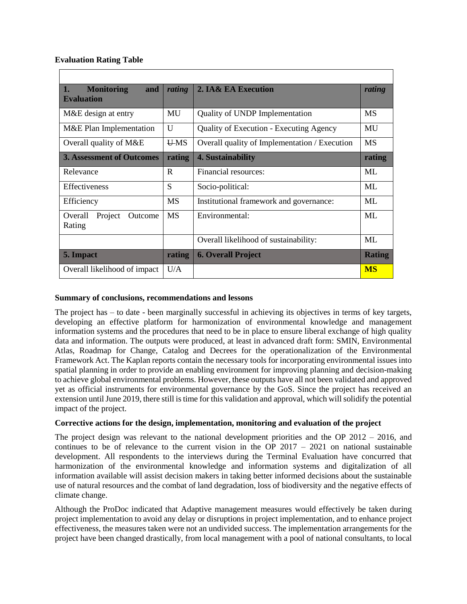## **Evaluation Rating Table**

| <b>Monitoring</b><br>1.<br>and   | rating     | 2. IA& EA Execution                            | rating        |  |  |  |
|----------------------------------|------------|------------------------------------------------|---------------|--|--|--|
| <b>Evaluation</b>                |            |                                                |               |  |  |  |
| M&E design at entry              | MU         | Quality of UNDP Implementation                 | <b>MS</b>     |  |  |  |
| M&E Plan Implementation          | U          | <b>Quality of Execution - Executing Agency</b> | MU            |  |  |  |
| Overall quality of M&E           | <b>UMS</b> | Overall quality of Implementation / Execution  | <b>MS</b>     |  |  |  |
| <b>3. Assessment of Outcomes</b> | rating     | 4. Sustainability                              | rating        |  |  |  |
| Relevance                        | R          | Financial resources:                           | MI.           |  |  |  |
| <b>Effectiveness</b>             | S          | Socio-political:                               | ML            |  |  |  |
| Efficiency                       | <b>MS</b>  | Institutional framework and governance:        | ML            |  |  |  |
| Project<br>Overall<br>Outcome    | <b>MS</b>  | Environmental:                                 | ML            |  |  |  |
| Rating                           |            |                                                |               |  |  |  |
|                                  |            | Overall likelihood of sustainability:          | ML            |  |  |  |
| 5. Impact                        | rating     | <b>6. Overall Project</b>                      | <b>Rating</b> |  |  |  |
| Overall likelihood of impact     | U/A        |                                                | <b>MS</b>     |  |  |  |

## **Summary of conclusions, recommendations and lessons**

The project has – to date - been marginally successful in achieving its objectives in terms of key targets, developing an effective platform for harmonization of environmental knowledge and management information systems and the procedures that need to be in place to ensure liberal exchange of high quality data and information. The outputs were produced, at least in advanced draft form: SMIN, Environmental Atlas, Roadmap for Change, Catalog and Decrees for the operationalization of the Environmental Framework Act. The Kaplan reports contain the necessary tools for incorporating environmental issues into spatial planning in order to provide an enabling environment for improving planning and decision-making to achieve global environmental problems. However, these outputs have all not been validated and approved yet as official instruments for environmental governance by the GoS. Since the project has received an extension until June 2019, there still is time for this validation and approval, which will solidify the potential impact of the project.

#### **Corrective actions for the design, implementation, monitoring and evaluation of the project**

The project design was relevant to the national development priorities and the OP 2012 – 2016, and continues to be of relevance to the current vision in the OP  $2017 - 2021$  on national sustainable development. All respondents to the interviews during the Terminal Evaluation have concurred that harmonization of the environmental knowledge and information systems and digitalization of all information available will assist decision makers in taking better informed decisions about the sustainable use of natural resources and the combat of land degradation, loss of biodiversity and the negative effects of climate change.

Although the ProDoc indicated that Adaptive management measures would effectively be taken during project implementation to avoid any delay or disruptions in project implementation, and to enhance project effectiveness, the measures taken were not an undivided success. The implementation arrangements for the project have been changed drastically, from local management with a pool of national consultants, to local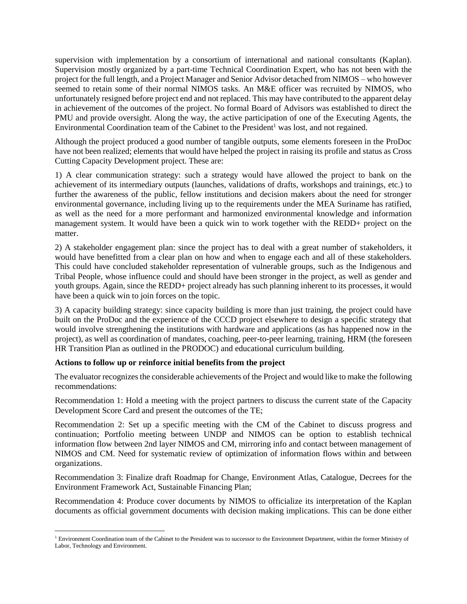supervision with implementation by a consortium of international and national consultants (Kaplan). Supervision mostly organized by a part-time Technical Coordination Expert, who has not been with the project for the full length, and a Project Manager and Senior Advisor detached from NIMOS – who however seemed to retain some of their normal NIMOS tasks. An M&E officer was recruited by NIMOS, who unfortunately resigned before project end and not replaced. This may have contributed to the apparent delay in achievement of the outcomes of the project. No formal Board of Advisors was established to direct the PMU and provide oversight. Along the way, the active participation of one of the Executing Agents, the Environmental Coordination team of the Cabinet to the President<sup>1</sup> was lost, and not regained.

Although the project produced a good number of tangible outputs, some elements foreseen in the ProDoc have not been realized; elements that would have helped the project in raising its profile and status as Cross Cutting Capacity Development project. These are:

1) A clear communication strategy: such a strategy would have allowed the project to bank on the achievement of its intermediary outputs (launches, validations of drafts, workshops and trainings, etc.) to further the awareness of the public, fellow institutions and decision makers about the need for stronger environmental governance, including living up to the requirements under the MEA Suriname has ratified, as well as the need for a more performant and harmonized environmental knowledge and information management system. It would have been a quick win to work together with the REDD+ project on the matter.

2) A stakeholder engagement plan: since the project has to deal with a great number of stakeholders, it would have benefitted from a clear plan on how and when to engage each and all of these stakeholders. This could have concluded stakeholder representation of vulnerable groups, such as the Indigenous and Tribal People, whose influence could and should have been stronger in the project, as well as gender and youth groups. Again, since the REDD+ project already has such planning inherent to its processes, it would have been a quick win to join forces on the topic.

3) A capacity building strategy: since capacity building is more than just training, the project could have built on the ProDoc and the experience of the CCCD project elsewhere to design a specific strategy that would involve strengthening the institutions with hardware and applications (as has happened now in the project), as well as coordination of mandates, coaching, peer-to-peer learning, training, HRM (the foreseen HR Transition Plan as outlined in the PRODOC) and educational curriculum building.

#### **Actions to follow up or reinforce initial benefits from the project**

 $\overline{a}$ 

The evaluator recognizes the considerable achievements of the Project and would like to make the following recommendations:

Recommendation 1: Hold a meeting with the project partners to discuss the current state of the Capacity Development Score Card and present the outcomes of the TE;

Recommendation 2: Set up a specific meeting with the CM of the Cabinet to discuss progress and continuation; Portfolio meeting between UNDP and NIMOS can be option to establish technical information flow between 2nd layer NIMOS and CM, mirroring info and contact between management of NIMOS and CM. Need for systematic review of optimization of information flows within and between organizations.

Recommendation 3: Finalize draft Roadmap for Change, Environment Atlas, Catalogue, Decrees for the Environment Framework Act, Sustainable Financing Plan;

Recommendation 4: Produce cover documents by NIMOS to officialize its interpretation of the Kaplan documents as official government documents with decision making implications. This can be done either

<sup>&</sup>lt;sup>1</sup> Environment Coordination team of the Cabinet to the President was to successor to the Environment Department, within the former Ministry of Labor, Technology and Environment.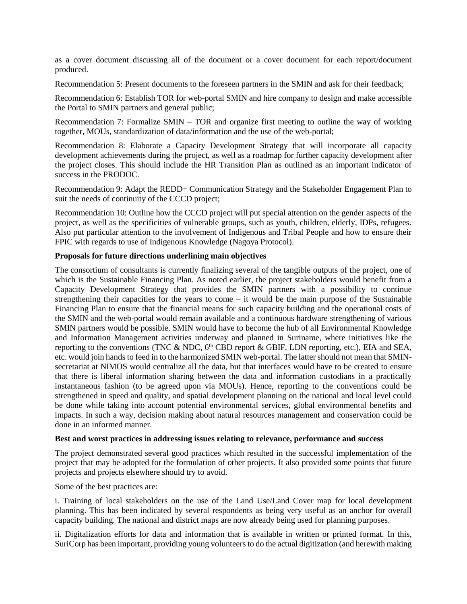as a cover document discussing all of the document or a cover document for each report/document produced.

Recommendation 5: Present documents to the foreseen partners in the SMIN and ask for their feedback;

Recommendation 6: Establish TOR for web-portal SMIN and hire company to design and make accessible the Portal to SMIN partners and general public;

Recommendation 7: Formalize SMIN – TOR and organize first meeting to outline the way of working together, MOUs, standardization of data/information and the use of the web-portal;

Recommendation 8: Elaborate a Capacity Development Strategy that will incorporate all capacity development achievements during the project, as well as a roadmap for further capacity development after the project closes. This should include the HR Transition Plan as outlined as an important indicator of success in the PRODOC.

Recommendation 9: Adapt the REDD+ Communication Strategy and the Stakeholder Engagement Plan to suit the needs of continuity of the CCCD project;

Recommendation 10: Outline how the CCCD project will put special attention on the gender aspects of the project, as well as the specificities of vulnerable groups, such as youth, children, elderly, IDPs, refugees. Also put particular attention to the involvement of Indigenous and Tribal People and how to ensure their FPIC with regards to use of Indigenous Knowledge (Nagoya Protocol).

#### **Proposals for future directions underlining main objectives**

The consortium of consultants is currently finalizing several of the tangible outputs of the project, one of which is the Sustainable Financing Plan. As noted earlier, the project stakeholders would benefit from a Capacity Development Strategy that provides the SMIN partners with a possibility to continue strengthening their capacities for the years to come – it would be the main purpose of the Sustainable Financing Plan to ensure that the financial means for such capacity building and the operational costs of the SMIN and the web-portal would remain available and a continuous hardware strengthening of various SMIN partners would be possible. SMIN would have to become the hub of all Environmental Knowledge and Information Management activities underway and planned in Suriname, where initiatives like the reporting to the conventions (TNC  $\&$  NDC,  $6<sup>th</sup>$  CBD report  $\&$  GBIF, LDN reporting, etc.), EIA and SEA, etc. would join hands to feed in to the harmonized SMIN web-portal. The latter should not mean that SMINsecretariat at NIMOS would centralize all the data, but that interfaces would have to be created to ensure that there is liberal information sharing between the data and information custodians in a practically instantaneous fashion (to be agreed upon via MOUs). Hence, reporting to the conventions could be strengthened in speed and quality, and spatial development planning on the national and local level could be done while taking into account potential environmental services, global environmental benefits and impacts. In such a way, decision making about natural resources management and conservation could be done in an informed manner.

#### **Best and worst practices in addressing issues relating to relevance, performance and success**

The project demonstrated several good practices which resulted in the successful implementation of the project that may be adopted for the formulation of other projects. It also provided some points that future projects and projects elsewhere should try to avoid.

Some of the best practices are:

i. Training of local stakeholders on the use of the Land Use/Land Cover map for local development planning. This has been indicated by several respondents as being very useful as an anchor for overall capacity building. The national and district maps are now already being used for planning purposes.

ii. Digitalization efforts for data and information that is available in written or printed format. In this, SuriCorp has been important, providing young volunteers to do the actual digitization (and herewith making